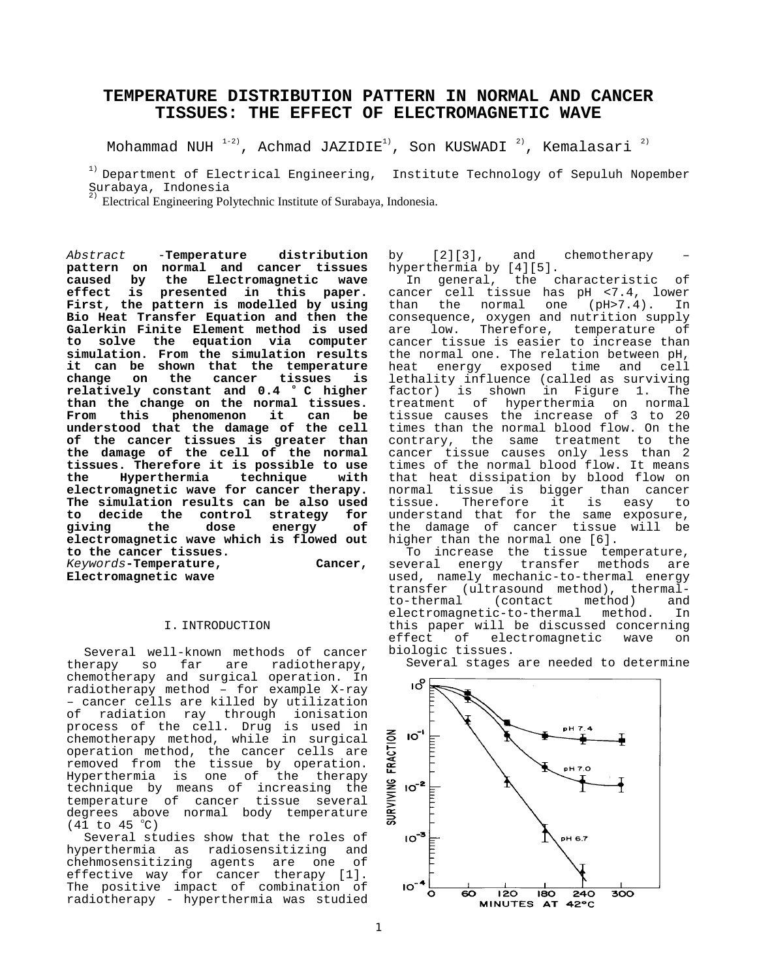# **TEMPERATURE DISTRIBUTION PATTERN IN NORMAL AND CANCER TISSUES: THE EFFECT OF ELECTROMAGNETIC WAVE**

Mohammad NUH  $1-2$ ), Achmad JAZIDIE<sup>1</sup>, Son KUSWADI  $2$ ), Kemalasari  $2$ )

 $1)$  Department of Electrical Engineering, Institute Technology of Sepuluh Nopember Surabaya, Indonesia

2) Electrical Engineering Polytechnic Institute of Surabaya, Indonesia.

Abstract -**Temperature distribution pattern on normal and cancer tissues caused by the Electromagnetic wave effect is presented in this paper. First, the pattern is modelled by using Bio Heat Transfer Equation and then the Galerkin Finite Element method is used to solve the equation via computer simulation. From the simulation results it can be shown that the temperature change on the cancer tissues is relatively constant and 0.4 o C higher than the change on the normal tissues. From this phenomenon it can be understood that the damage of the cell of the cancer tissues is greater than the damage of the cell of the normal tissues. Therefore it is possible to use the Hyperthermia technique with electromagnetic wave for cancer therapy. The simulation results can be also used to decide the control strategy for giving the dose energy of electromagnetic wave which is flowed out to the cancer tissues.** Keywords**-Temperature, Cancer, Electromagnetic wave**

#### I. INTRODUCTION

Several well-known methods of cancer therapy so far are radiotherapy, chemotherapy and surgical operation. In radiotherapy method – for example X-ray – cancer cells are killed by utilization of radiation ray through ionisation process of the cell. Drug is used in chemotherapy method, while in surgical operation method, the cancer cells are removed from the tissue by operation. Hyperthermia is one of the therapy technique by means of increasing the temperature of cancer tissue several degrees above normal body temperature  $(41$  to  $45$  °C)

Several studies show that the roles of hyperthermia as radiosensitizing and chehmosensitizing agents are one of effective way for cancer therapy [1]. The positive impact of combination of radiotherapy - hyperthermia was studied by [2][3], and chemotherapy – hyperthermia by [4][5].

In general, the characteristic of cancer cell tissue has pH <7.4, lower<br>than the normal one (pH>7.4). In one (pH>7.4). In consequence, oxygen and nutrition supply are low. Therefore, temperature of cancer tissue is easier to increase than the normal one. The relation between pH, heat energy exposed time and cell lethality influence (called as surviving factor) is shown in Figure 1. The treatment of hyperthermia on normal tissue causes the increase of 3 to 20 times than the normal blood flow. On the contrary, the same treatment to the cancer tissue causes only less than 2 times of the normal blood flow. It means that heat dissipation by blood flow on normal tissue is bigger than cancer tissue. Therefore it is easy to understand that for the same exposure, the damage of cancer tissue will be higher than the normal one [6].

To increase the tissue temperature, several energy transfer methods are used, namely mechanic-to-thermal energy transfer (ultrasound method), thermal-<br>to-thermal (contact method) and (contact method) and electromagnetic-to-thermal method. In this paper will be discussed concerning<br>effect of electromagnetic wave on of electromagnetic wave on biologic tissues.



Several stages are needed to determine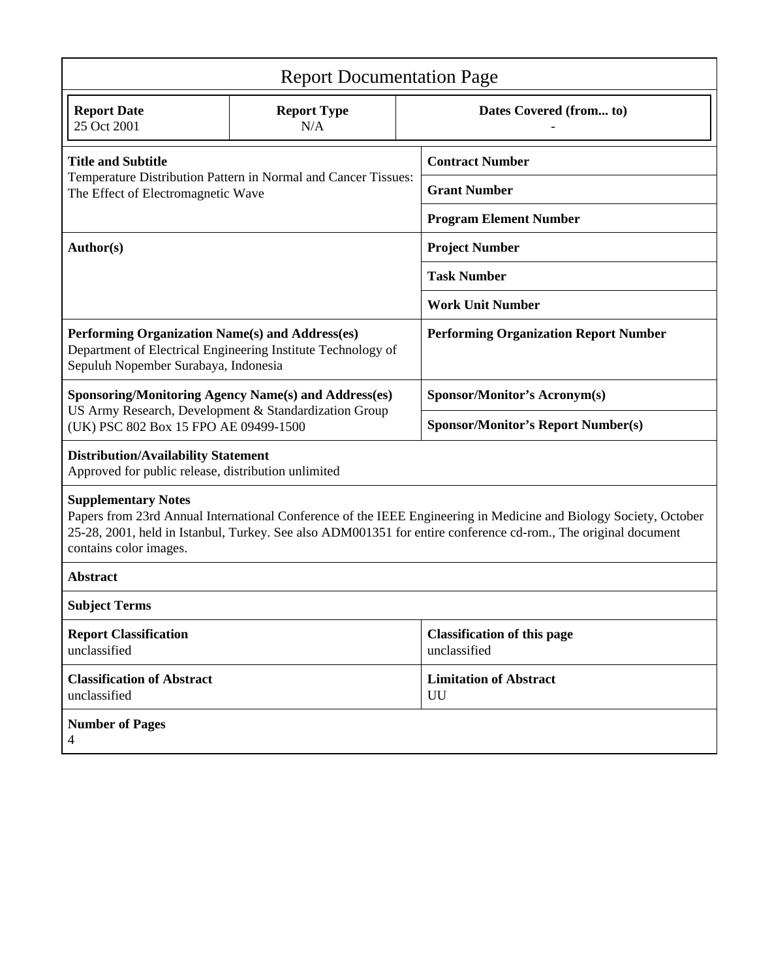| <b>Report Documentation Page</b>                                                                                                                                                                                                                                                            |                           |                                                    |                                           |  |
|---------------------------------------------------------------------------------------------------------------------------------------------------------------------------------------------------------------------------------------------------------------------------------------------|---------------------------|----------------------------------------------------|-------------------------------------------|--|
| <b>Report Date</b><br>25 Oct 2001                                                                                                                                                                                                                                                           | <b>Report Type</b><br>N/A |                                                    | Dates Covered (from to)                   |  |
| <b>Title and Subtitle</b>                                                                                                                                                                                                                                                                   |                           | <b>Contract Number</b>                             |                                           |  |
| Temperature Distribution Pattern in Normal and Cancer Tissues:<br>The Effect of Electromagnetic Wave                                                                                                                                                                                        |                           |                                                    | <b>Grant Number</b>                       |  |
|                                                                                                                                                                                                                                                                                             |                           | <b>Program Element Number</b>                      |                                           |  |
| <b>Author(s)</b>                                                                                                                                                                                                                                                                            |                           | <b>Project Number</b>                              |                                           |  |
|                                                                                                                                                                                                                                                                                             |                           | <b>Task Number</b>                                 |                                           |  |
|                                                                                                                                                                                                                                                                                             |                           | <b>Work Unit Number</b>                            |                                           |  |
| Performing Organization Name(s) and Address(es)<br>Department of Electrical Engineering Institute Technology of<br>Sepuluh Nopember Surabaya, Indonesia                                                                                                                                     |                           | <b>Performing Organization Report Number</b>       |                                           |  |
| <b>Sponsoring/Monitoring Agency Name(s) and Address(es)</b><br>US Army Research, Development & Standardization Group<br>(UK) PSC 802 Box 15 FPO AE 09499-1500                                                                                                                               |                           |                                                    | Sponsor/Monitor's Acronym(s)              |  |
|                                                                                                                                                                                                                                                                                             |                           |                                                    | <b>Sponsor/Monitor's Report Number(s)</b> |  |
| <b>Distribution/Availability Statement</b><br>Approved for public release, distribution unlimited                                                                                                                                                                                           |                           |                                                    |                                           |  |
| <b>Supplementary Notes</b><br>Papers from 23rd Annual International Conference of the IEEE Engineering in Medicine and Biology Society, October<br>25-28, 2001, held in Istanbul, Turkey. See also ADM001351 for entire conference cd-rom., The original document<br>contains color images. |                           |                                                    |                                           |  |
| <b>Abstract</b>                                                                                                                                                                                                                                                                             |                           |                                                    |                                           |  |
| <b>Subject Terms</b>                                                                                                                                                                                                                                                                        |                           |                                                    |                                           |  |
| <b>Report Classification</b><br>unclassified                                                                                                                                                                                                                                                |                           | <b>Classification of this page</b><br>unclassified |                                           |  |
| <b>Classification of Abstract</b><br>unclassified                                                                                                                                                                                                                                           |                           | <b>Limitation of Abstract</b><br>UU                |                                           |  |
| <b>Number of Pages</b><br>4                                                                                                                                                                                                                                                                 |                           |                                                    |                                           |  |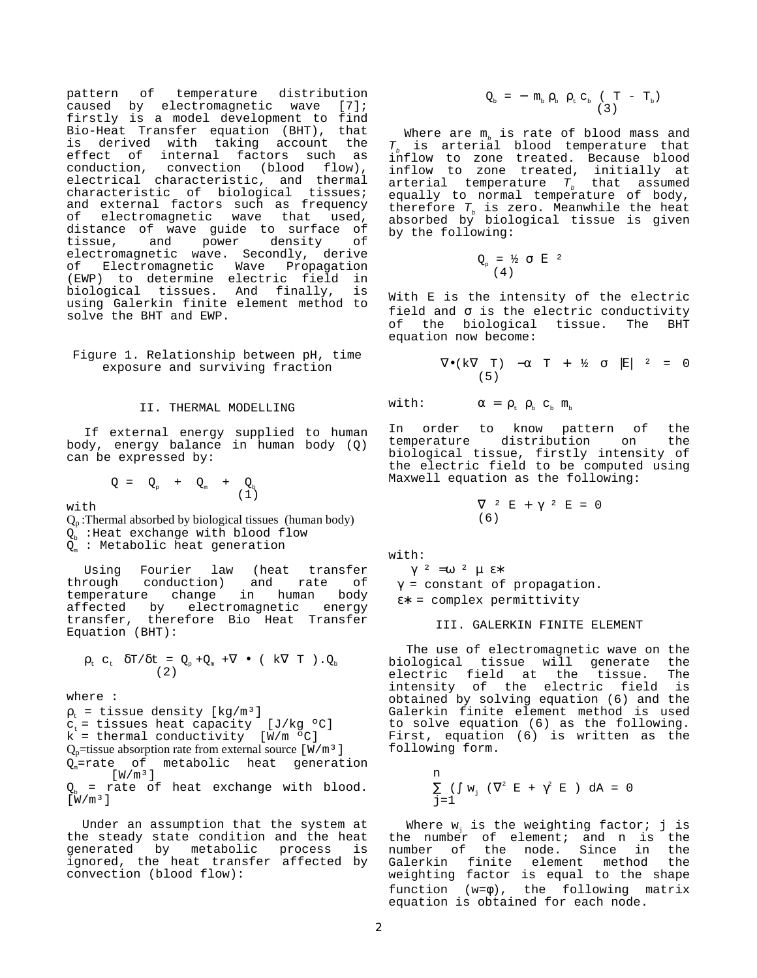pattern of temperature distribution caused by electromagnetic wave [7]; firstly is a model development to find Bio-Heat Transfer equation (BHT), that is derived with taking account the effect of internal factors such as conduction, convection (blood flow), electrical characteristic, and thermal characteristic of biological tissues; and external factors such as frequency of electromagnetic wave that used, distance of wave guide to surface of tissue, and power density of electromagnetic wave. Secondly, derive of Electromagnetic Wave Propagation (EWP) to determine electric field in biological tissues. And finally, is using Galerkin finite element method to solve the BHT and EWP.

Figure 1. Relationship between pH, time exposure and surviving fraction

### II. THERMAL MODELLING

If external energy supplied to human body, energy balance in human body (Q) can be expressed by:

 $Q = Q_p + Q_m + Q_b$ <br>(1)

 $w \textbf{i} + h$ 

 $Q_p$ : Thermal absorbed by biological tissues (human body)  $Q_{b}$  : Heat exchange with blood flow  $Q_{m}$  : Metabolic heat generation

Using Fourier law (heat transfer through conduction) and rate of temperature change in human body affected by electromagnetic energy transfer, therefore Bio Heat Transfer Equation (BHT):

$$
\rho_{t} c_{t} \delta T / \delta t = Q_{p} + Q_{m} + \nabla \bullet (k \nabla T) . Q_{b}
$$
\n(2)

where :

 $\rho_{t}$  = tissue density [kg/m<sup>3</sup>]  $c_t =$  tissues heat capacity [J/kg  $°C$ ] k = thermal conductivity [W/m ºC]  $Q_p$ =tissue absorption rate from external source [W/m<sup>3</sup>]  $Q_m$ =rate of metabolic heat generation  $[W/m^3]$ = rate of heat exchange with blood.  $\left[\,\mathrm{\bar{W}}/\mathrm{m}^3\,\right]$ 

Under an assumption that the system at the steady state condition and the heat generated by metabolic process is ignored, the heat transfer affected by convection (blood flow):

$$
Q_{b} = - m_{b} \rho_{b} \rho_{t} c_{b} (T - T_{b})
$$

Where are  $m_h$  is rate of blood mass and  $T<sub>b</sub>$  is arterial blood temperature that inflow to zone treated. Because blood inflow to zone treated, initially at arterial temperature  $T_b$  that assumed equally to normal temperature of body, therefore  $T_b$  is zero. Meanwhile the heat absorbed by biological tissue is given by the following:

$$
Q_{p} = \frac{1}{2} \sigma |E|^{2}
$$

With E is the intensity of the electric field and  $\sigma$  is the electric conductivity of the biological tissue. The BHT equation now become:

$$
\nabla \bullet(k\nabla \quad T) \quad -\alpha \quad T \quad + \quad \frac{1}{2} \quad \sigma \quad |E| \quad ^2 \quad = \quad 0
$$

with:  $\alpha = \rho_t \rho_b c_b m_b$ 

In order to know pattern of the<br>temperature distribution on the temperature distribution on biological tissue, firstly intensity of the electric field to be computed using Maxwell equation as the following:

$$
\nabla^2 \mathbf{E} + \gamma^2 \mathbf{E} = 0
$$
  
(6)

with:

 $γ^2$  =ω <sup>2</sup> μ ε<sup>\*</sup> γ = constant of propagation. ε∗ = complex permittivity

#### III. GALERKIN FINITE ELEMENT

The use of electromagnetic wave on the biological tissue will generate the<br>electric field at the tissue. The electric field at the tissue. intensity of the electric field is obtained by solving equation (6) and the Galerkin finite element method is used to solve equation (6) as the following. First, equation (6) is written as the following form.

$$
\begin{array}{l} n\\ \sum\limits_{j=1}^{n} \left(\int\limits w_j\right)\left(\nabla^2\right)E\ +\ \gamma^2\ E\ )\ dA\ =\ 0\\ \end{array}
$$

Where  $w_i$  is the weighting factor; j is the number of element; and n is the number of the node. Since in the Galerkin finite element method the weighting factor is equal to the shape function  $(w=\phi)$ , the following matrix equation is obtained for each node.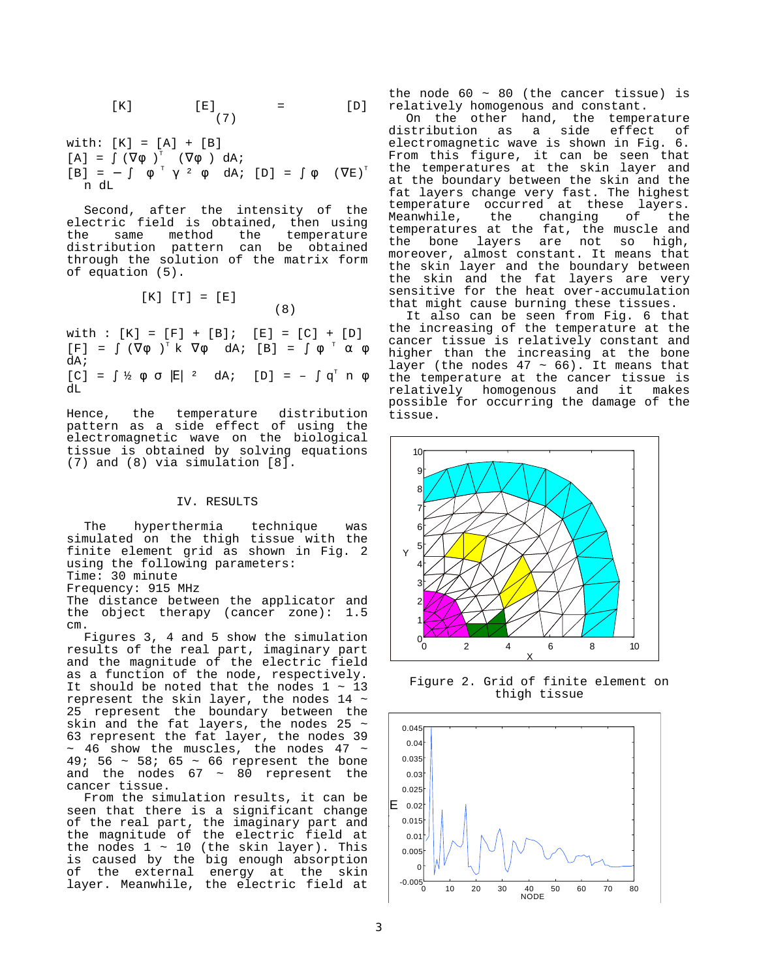$$
[K] \qquad [E] \qquad = \qquad [D]
$$

with: 
$$
[K] = [A] + [B]
$$
  
\n $[A] = \int (\nabla \phi)^T (\nabla \phi) dA;$   
\n $[B] = - \int \phi^T \gamma^2 \phi dA;$   $[D] = \int \phi (\nabla E)^T$   
\n $n dL$ 

Second, after the intensity of the electric field is obtained, then using the same method the temperature distribution pattern can be obtained through the solution of the matrix form of equation (5).

$$
[\mathbf{K}] [\mathbf{T}] = [\mathbf{E}]
$$
 (8)

with :  $[K] = [F] + [B]; [E] = [C] + [D]$  $[F] = \int (\nabla \phi)^T k \nabla \phi dA; [B] = \int \phi^T \alpha \phi$ dA;  $[C] = \int \frac{1}{2} \phi \sigma [E]$  <sup>2</sup> dA;  $[D] = - \int q^T n \phi$  $dL$ 

Hence, the temperature distribution pattern as a side effect of using the electromagnetic wave on the biological tissue is obtained by solving equations (7) and (8) via simulation [8].

#### IV. RESULTS

The hyperthermia technique was simulated on the thigh tissue with the finite element grid as shown in Fig. 2 using the following parameters:

Time: 30 minute

Frequency: 915 MHz

The distance between the applicator and the object therapy (cancer zone): 1.5 cm.

Figures 3, 4 and 5 show the simulation results of the real part, imaginary part and the magnitude of the electric field as a function of the node, respectively. It should be noted that the nodes  $1 \sim 13$ represent the skin layer, the nodes 14 ~ 25 represent the boundary between the skin and the fat layers, the nodes 25  $\sim$ 63 represent the fat layer, the nodes 39  $\sim$  46 show the muscles, the nodes 47  $\sim$ 49; 56 ~ 58; 65 ~ 66 represent the bone and the nodes  $67 \sim 80$  represent the cancer tissue.

From the simulation results, it can be seen that there is a significant change of the real part, the imaginary part and the magnitude of the electric field at the nodes 1 ~ 10 (the skin layer). This is caused by the big enough absorption of the external energy at the skin layer. Meanwhile, the electric field at

the node  $60 \sim 80$  (the cancer tissue) is relatively homogenous and constant.

On the other hand, the temperature<br>distribution as a side effect of as a side electromagnetic wave is shown in Fig. 6. From this figure, it can be seen that the temperatures at the skin layer and at the boundary between the skin and the fat layers change very fast. The highest temperature occurred at these layers. Meanwhile, the changing of the temperatures at the fat, the muscle and the bone layers are not so high, moreover, almost constant. It means that the skin layer and the boundary between the skin and the fat layers are very sensitive for the heat over-accumulation that might cause burning these tissues.

It also can be seen from Fig. 6 that the increasing of the temperature at the cancer tissue is relatively constant and higher than the increasing at the bone layer (the nodes  $47 \sim 66$ ). It means that the temperature at the cancer tissue is relatively homogenous and it makes possible for occurring the damage of the tissue.



Figure 2. Grid of finite element on thigh tissue

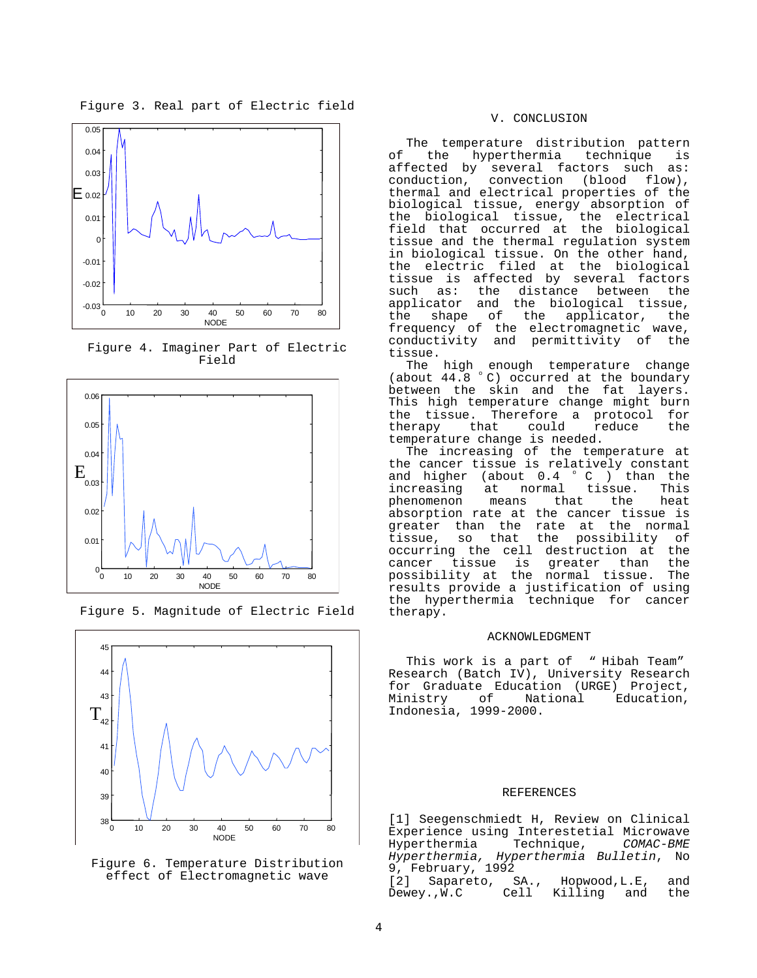Figure 3. Real part of Electric field



Figure 4. Imaginer Part of Electric Field





Figure 5. Magnitude of Electric Field

Figure 6. Temperature Distribution effect of Electromagnetic wave

#### V. CONCLUSION

The temperature distribution pattern of the hyperthermia technique is affected by several factors such as:<br>conduction, convection (blood flow), convection (blood flow), thermal and electrical properties of the biological tissue, energy absorption of the biological tissue, the electrical field that occurred at the biological tissue and the thermal regulation system in biological tissue. On the other hand, the electric filed at the biological tissue is affected by several factors such as: the distance between the applicator and the biological tissue,<br>the shape of the applicator, the the shape of the applicator, the frequency of the electromagnetic wave, conductivity and permittivity of the tissue.

The high enough temperature change (about 44.8 °C) occurred at the boundary between the skin and the fat layers. This high temperature change might burn the tissue. Therefore a protocol for<br>therapy that could reduce the therapy temperature change is needed.

The increasing of the temperature at the cancer tissue is relatively constant<br>and higher (about  $0.4 \degree C$  ) than the and higher (about  $0.4 \degree C$  ) then increasing at normal tissue. increasing at normal tissue. This<br>phenomenon means that the heat phenomenon absorption rate at the cancer tissue is greater than the rate at the normal<br>tissue, so that the possibility of tissue, so that the possibility of occurring the cell destruction at the cancer tissue is greater than the possibility at the normal tissue. The results provide a justification of using the hyperthermia technique for cancer therapy.

#### ACKNOWLEDGMENT

This work is a part of "Hibah Team" Research (Batch IV), University Research for Graduate Education (URGE) Project, Ministry of National Education, Indonesia, 1999-2000.

## REFERENCES

[1] Seegenschmiedt H, Review on Clinical Experience using Interestetial Microwave<br>Hyperthermia Technique, COMAC-BME Hyperthermia Hyperthermia, Hyperthermia Bulletin, No 9, February, 1992<br>[2] Sapareto, SA.,

[2] Sapareto, SA., Hopwood, L.E, and Dewey.,W.C Cell Killing and the